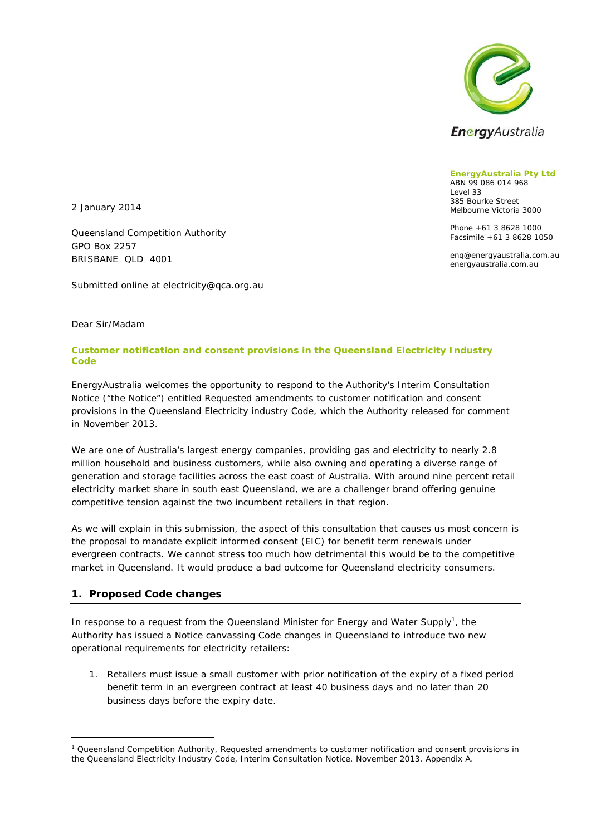

**EnergyAustralia Pty Ltd**  ABN 99 086 014 968 Level 33 385 Bourke Street Melbourne Victoria 3000

Phone +61 3 8628 1000 Facsimile +61 3 8628 1050

enq@energyaustralia.com.au energyaustralia.com.au

2 January 2014

Queensland Competition Authority GPO Box 2257 BRISBANE QLD 4001

Submitted online at electricity@qca.org.au

Dear Sir/Madam

### **Customer notification and consent provisions in the Queensland Electricity Industry Code**

EnergyAustralia welcomes the opportunity to respond to the Authority's Interim Consultation Notice ("the Notice") entitled *Requested amendments to customer notification and consent provisions in the Queensland Electricity industry Code*, which the Authority released for comment in November 2013.

We are one of Australia's largest energy companies, providing gas and electricity to nearly 2.8 million household and business customers, while also owning and operating a diverse range of generation and storage facilities across the east coast of Australia. With around nine percent retail electricity market share in south east Queensland, we are a challenger brand offering genuine competitive tension against the two incumbent retailers in that region.

As we will explain in this submission, the aspect of this consultation that causes us most concern is the proposal to mandate explicit informed consent (EIC) for benefit term renewals under evergreen contracts. We cannot stress too much how detrimental this would be to the competitive market in Queensland. It would produce a bad outcome for Queensland electricity consumers.

### **1. Proposed Code changes**

-

In response to a request from the Queensland Minister for Energy and Water Supply<sup>1</sup>, the Authority has issued a Notice canvassing Code changes in Queensland to introduce two new operational requirements for electricity retailers:

1. Retailers must issue a small customer with prior notification of the expiry of a fixed period benefit term in an evergreen contract at least 40 business days and no later than 20 business days before the expiry date.

<sup>&</sup>lt;sup>1</sup> Queensland Competition Authority, *Requested amendments to customer notification and consent provisions in the Queensland Electricity Industry Code*, Interim Consultation Notice, November 2013, Appendix A.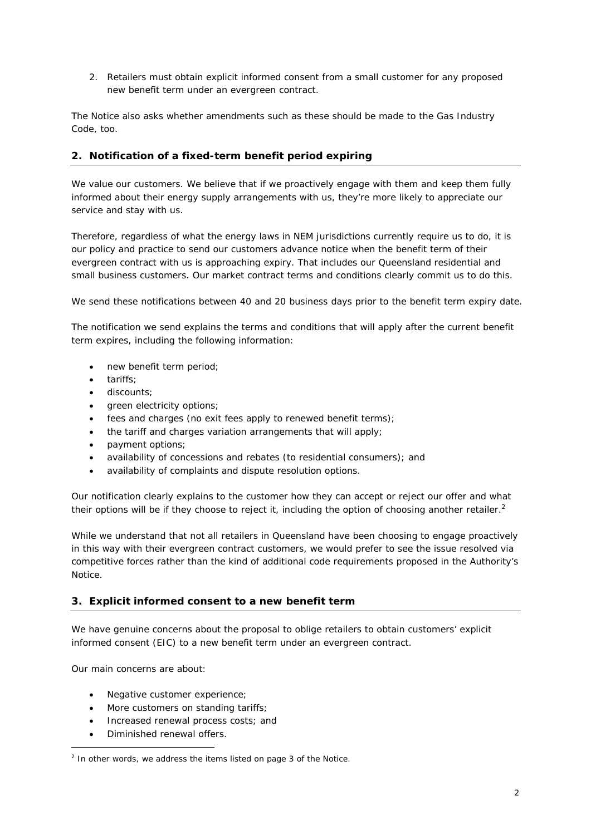2. Retailers must obtain explicit informed consent from a small customer for any proposed new benefit term under an evergreen contract.

The Notice also asks whether amendments such as these should be made to the Gas Industry Code, too.

# **2. Notification of a fixed-term benefit period expiring**

We value our customers. We believe that if we proactively engage with them and keep them fully informed about their energy supply arrangements with us, they're more likely to appreciate our service and stay with us.

Therefore, regardless of what the energy laws in NEM jurisdictions currently require us to do, it is our policy and practice to send our customers advance notice when the benefit term of their evergreen contract with us is approaching expiry. That includes our Queensland residential and small business customers. Our market contract terms and conditions clearly commit us to do this.

We send these notifications between 40 and 20 business days prior to the benefit term expiry date.

The notification we send explains the terms and conditions that will apply after the current benefit term expires, including the following information:

- new benefit term period;
- tariffs:
- discounts;
- green electricity options;
- $\bullet$  fees and charges (no exit fees apply to renewed benefit terms);
- the tariff and charges variation arrangements that will apply;
- payment options;
- availability of concessions and rebates (to residential consumers); and
- availability of complaints and dispute resolution options.

Our notification clearly explains to the customer how they can accept or reject our offer and what their options will be if they choose to reject it, including the option of choosing another retailer.<sup>2</sup>

While we understand that not all retailers in Queensland have been choosing to engage proactively in this way with their evergreen contract customers, we would prefer to see the issue resolved via competitive forces rather than the kind of additional code requirements proposed in the Authority's Notice.

### **3. Explicit informed consent to a new benefit term**

We have genuine concerns about the proposal to oblige retailers to obtain customers' explicit informed consent (EIC) to a new benefit term under an evergreen contract.

Our main concerns are about:

-

- Negative customer experience;
- More customers on standing tariffs;
- Increased renewal process costs; and
- Diminished renewal offers.

 $2$  In other words, we address the items listed on page 3 of the Notice.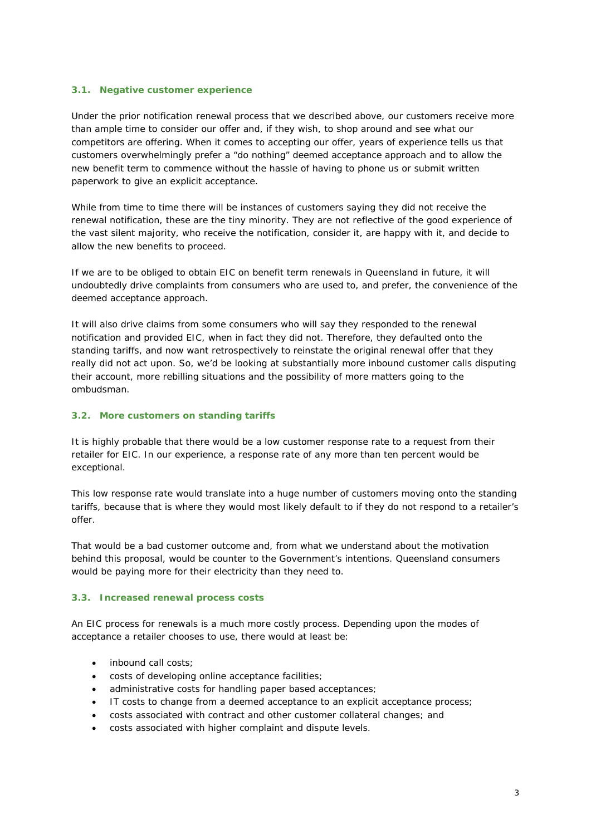#### **3.1. Negative customer experience**

Under the prior notification renewal process that we described above, our customers receive more than ample time to consider our offer and, if they wish, to shop around and see what our competitors are offering. When it comes to accepting our offer, years of experience tells us that customers overwhelmingly prefer a "do nothing" deemed acceptance approach and to allow the new benefit term to commence without the hassle of having to phone us or submit written paperwork to give an explicit acceptance.

While from time to time there will be instances of customers saying they did not receive the renewal notification, these are the tiny minority. They are not reflective of the good experience of the vast silent majority, who receive the notification, consider it, are happy with it, and decide to allow the new benefits to proceed.

If we are to be obliged to obtain EIC on benefit term renewals in Queensland in future, it will undoubtedly drive complaints from consumers who are used to, and prefer, the convenience of the deemed acceptance approach.

It will also drive claims from some consumers who will say they responded to the renewal notification and provided EIC, when in fact they did not. Therefore, they defaulted onto the standing tariffs, and now want retrospectively to reinstate the original renewal offer that they really did not act upon. So, we'd be looking at substantially more inbound customer calls disputing their account, more rebilling situations and the possibility of more matters going to the ombudsman.

#### **3.2. More customers on standing tariffs**

It is highly probable that there would be a low customer response rate to a request from their retailer for EIC. In our experience, a response rate of any more than ten percent would be exceptional.

This low response rate would translate into a huge number of customers moving onto the standing tariffs, because that is where they would most likely default to if they do not respond to a retailer's offer.

That would be a bad customer outcome and, from what we understand about the motivation behind this proposal, would be counter to the Government's intentions. Queensland consumers would be paying more for their electricity than they need to.

#### **3.3. Increased renewal process costs**

An EIC process for renewals is a much more costly process. Depending upon the modes of acceptance a retailer chooses to use, there would at least be:

- inbound call costs;
- costs of developing online acceptance facilities;
- administrative costs for handling paper based acceptances;
- IT costs to change from a deemed acceptance to an explicit acceptance process;
- costs associated with contract and other customer collateral changes; and
- costs associated with higher complaint and dispute levels.